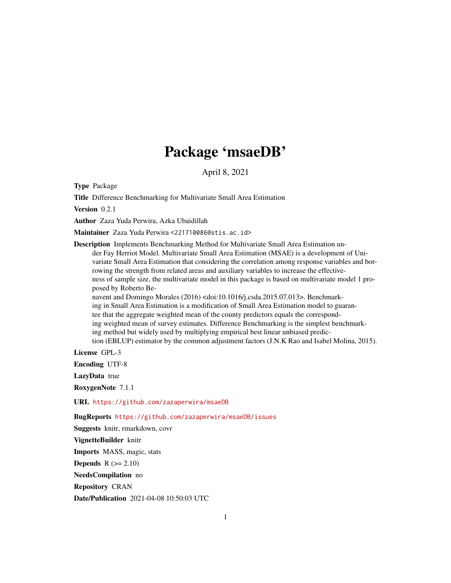# Package 'msaeDB'

April 8, 2021

Type Package

Title Difference Benchmarking for Multivariate Small Area Estimation

Version 0.2.1

Author Zaza Yuda Perwira, Azka Ubaidillah

Maintainer Zaza Yuda Perwira <221710086@stis.ac.id>

Description Implements Benchmarking Method for Multivariate Small Area Estimation under Fay Herriot Model. Multivariate Small Area Estimation (MSAE) is a development of Univariate Small Area Estimation that considering the correlation among response variables and borrowing the strength from related areas and auxiliary variables to increase the effectiveness of sample size, the multivariate model in this package is based on multivariate model 1 proposed by Roberto Benavent and Domingo Morales (2016) <doi:10.1016/j.csda.2015.07.013>. Benchmark-

ing in Small Area Estimation is a modification of Small Area Estimation model to guarantee that the aggregate weighted mean of the county predictors equals the corresponding weighted mean of survey estimates. Difference Benchmarking is the simplest benchmarking method but widely used by multiplying empirical best linear unbiased prediction (EBLUP) estimator by the common adjustment factors (J.N.K Rao and Isabel Molina, 2015).

License GPL-3

Encoding UTF-8

LazyData true

RoxygenNote 7.1.1

URL <https://github.com/zazaperwira/msaeDB>

BugReports <https://github.com/zazaperwira/msaeDB/issues>

Suggests knitr, rmarkdown, covr VignetteBuilder knitr Imports MASS, magic, stats **Depends**  $R$  ( $>= 2.10$ ) NeedsCompilation no Repository CRAN

Date/Publication 2021-04-08 10:50:03 UTC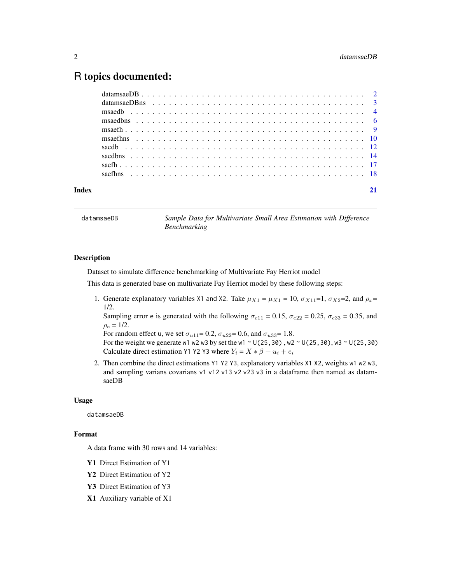### <span id="page-1-0"></span>R topics documented:

datamsaeDB *Sample Data for Multivariate Small Area Estimation with Difference Benchmarking*

#### Description

Dataset to simulate difference benchmarking of Multivariate Fay Herriot model

This data is generated base on multivariate Fay Herriot model by these following steps:

1. Generate explanatory variables X1 and X2. Take  $\mu_{X1} = \mu_{X1} = 10$ ,  $\sigma_{X11} = 1$ ,  $\sigma_{X2} = 2$ , and  $\rho_x =$ 1/2.

Sampling error e is generated with the following  $\sigma_{e11} = 0.15$ ,  $\sigma_{e22} = 0.25$ ,  $\sigma_{e33} = 0.35$ , and  $\rho_e = 1/2$ .

For random effect u, we set  $\sigma_{u11} = 0.2$ ,  $\sigma_{u22} = 0.6$ , and  $\sigma_{u33} = 1.8$ .

For the weight we generate w1 w2 w3 by set the w1 ~  $U(25,30)$ , w2 ~  $U(25,30)$ , w3 ~  $U(25,30)$ Calculate direct estimation Y1 Y2 Y3 where  $Y_i = X * \beta + u_i + e_i$ 

2. Then combine the direct estimations Y1 Y2 Y3, explanatory variables X1 X2, weights w1 w2 w3, and sampling varians covarians v1 v12 v13 v2 v23 v3 in a dataframe then named as datamsaeDB

#### Usage

datamsaeDB

#### Format

A data frame with 30 rows and 14 variables:

- Y1 Direct Estimation of Y1
- Y2 Direct Estimation of Y2
- Y3 Direct Estimation of Y3
- X1 Auxiliary variable of X1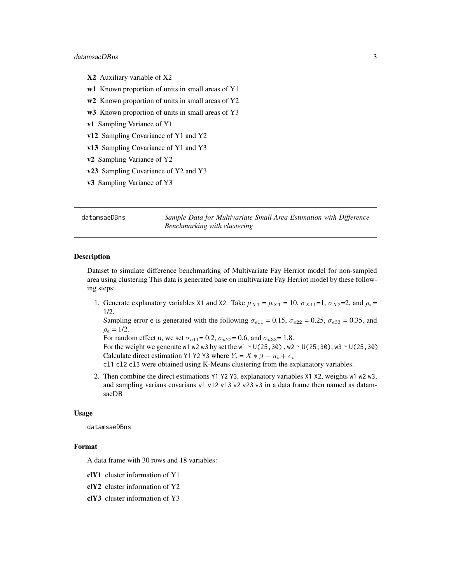#### <span id="page-2-0"></span>datamsaeDBns 3

- X2 Auxiliary variable of X2
- w1 Known proportion of units in small areas of Y1
- w<sub>2</sub> Known proportion of units in small areas of Y<sub>2</sub>
- w3 Known proportion of units in small areas of Y3
- v1 Sampling Variance of Y1
- v12 Sampling Covariance of Y1 and Y2
- v13 Sampling Covariance of Y1 and Y3
- v2 Sampling Variance of Y2
- v23 Sampling Covariance of Y2 and Y3
- v3 Sampling Variance of Y3

datamsaeDBns *Sample Data for Multivariate Small Area Estimation with Difference Benchmarking with clustering*

#### Description

Dataset to simulate difference benchmarking of Multivariate Fay Herriot model for non-sampled area using clustering This data is generated base on multivariate Fay Herriot model by these following steps:

1. Generate explanatory variables X1 and X2. Take  $\mu_{X1} = \mu_{X1} = 10$ ,  $\sigma_{X11} = 1$ ,  $\sigma_{X2} = 2$ , and  $\rho_x =$ 1/2.

Sampling error e is generated with the following  $\sigma_{e11} = 0.15$ ,  $\sigma_{e22} = 0.25$ ,  $\sigma_{e33} = 0.35$ , and  $\rho_e = 1/2.$ 

For random effect u, we set  $\sigma_{u11} = 0.2$ ,  $\sigma_{u22} = 0.6$ , and  $\sigma_{u33} = 1.8$ .

For the weight we generate w1 w2 w3 by set the w1  $\sim$  U(25,30), w2  $\sim$  U(25,30), w3  $\sim$  U(25,30) Calculate direct estimation Y1 Y2 Y3 where  $Y_i = X * \beta + u_i + e_i$ 

cl1 cl2 cl3 were obtained using K-Means clustering from the explanatory variables.

2. Then combine the direct estimations Y1 Y2 Y3, explanatory variables X1 X2, weights w1 w2 w3, and sampling varians covarians v1 v12 v13 v2 v23 v3 in a data frame then named as datamsaeDB

#### Usage

datamsaeDBns

#### Format

A data frame with 30 rows and 18 variables:

- clY1 cluster information of Y1
- clY2 cluster information of Y2
- clY3 cluster information of Y3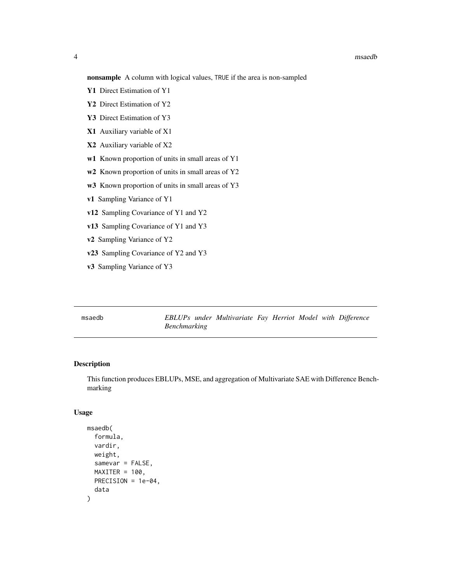#### <span id="page-3-0"></span>4 msaedb

nonsample A column with logical values, TRUE if the area is non-sampled

- Y1 Direct Estimation of Y1
- Y2 Direct Estimation of Y2
- Y3 Direct Estimation of Y3
- X1 Auxiliary variable of X1
- X2 Auxiliary variable of X2
- w1 Known proportion of units in small areas of Y1
- w<sub>2</sub> Known proportion of units in small areas of Y<sub>2</sub>
- w3 Known proportion of units in small areas of Y3
- v1 Sampling Variance of Y1
- v12 Sampling Covariance of Y1 and Y2
- v13 Sampling Covariance of Y1 and Y3
- v2 Sampling Variance of Y2
- v23 Sampling Covariance of Y2 and Y3
- v3 Sampling Variance of Y3

msaedb *EBLUPs under Multivariate Fay Herriot Model with Difference Benchmarking*

#### Description

This function produces EBLUPs, MSE, and aggregation of Multivariate SAE with Difference Benchmarking

#### Usage

```
msaedb(
  formula,
  vardir,
  weight,
  samevar = FALSE,
 MAXITER = 100,
 PRECISION = 1e-04,
  data
)
```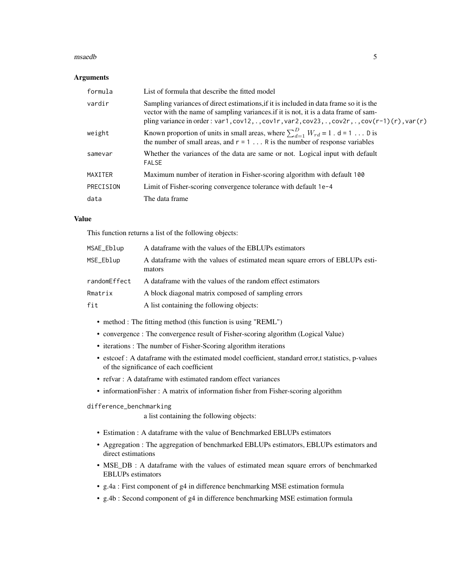#### msaedb 5

#### Arguments

| formula   | List of formula that describe the fitted model                                                                                                                                                                                                                                                  |
|-----------|-------------------------------------------------------------------------------------------------------------------------------------------------------------------------------------------------------------------------------------------------------------------------------------------------|
| vardir    | Sampling variances of direct estimations, if it is included in data frame so it is the<br>vector with the name of sampling variances if it is not, it is a data frame of sam-<br>pling variance in order: var1, $cov12, .$ , $cov1r$ , var2, $cov23, .$ , $cov2r$ , ., $cov(r-1)(r)$ , $var(r)$ |
| weight    | Known proportion of units in small areas, where $\sum_{d=1}^{D} W_{rd} = 1$ . d = 1 D is<br>the number of small areas, and $r = 1$ R is the number of response variables                                                                                                                        |
| samevar   | Whether the variances of the data are same or not. Logical input with default<br><b>FALSE</b>                                                                                                                                                                                                   |
| MAXITER   | Maximum number of iteration in Fisher-scoring algorithm with default 100                                                                                                                                                                                                                        |
| PRECISION | Limit of Fisher-scoring convergence tolerance with default 1e-4                                                                                                                                                                                                                                 |
| data      | The data frame                                                                                                                                                                                                                                                                                  |

#### Value

This function returns a list of the following objects:

| MSAE_Eblup   | A data frame with the values of the EBLUPs estimators                                  |
|--------------|----------------------------------------------------------------------------------------|
| MSE_Eblup    | A data frame with the values of estimated mean square errors of EBLUPs esti-<br>mators |
| randomEffect | A dataframe with the values of the random effect estimators                            |
| Rmatrix      | A block diagonal matrix composed of sampling errors                                    |
| fit          | A list containing the following objects:                                               |

- method : The fitting method (this function is using "REML")
- convergence : The convergence result of Fisher-scoring algorithm (Logical Value)
- iterations : The number of Fisher-Scoring algorithm iterations
- estcoef : A dataframe with the estimated model coefficient, standard error,t statistics, p-values of the significance of each coefficient
- refvar : A dataframe with estimated random effect variances
- informationFisher : A matrix of information fisher from Fisher-scoring algorithm

difference\_benchmarking

a list containing the following objects:

- Estimation : A dataframe with the value of Benchmarked EBLUPs estimators
- Aggregation : The aggregation of benchmarked EBLUPs estimators, EBLUPs estimators and direct estimations
- MSE\_DB : A dataframe with the values of estimated mean square errors of benchmarked EBLUPs estimators
- g.4a : First component of g4 in difference benchmarking MSE estimation formula
- g.4b : Second component of g4 in difference benchmarking MSE estimation formula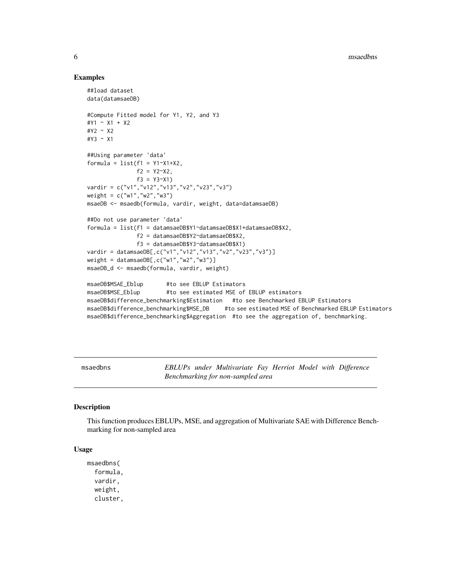#### Examples

```
##load dataset
data(datamsaeDB)
#Compute Fitted model for Y1, Y2, and Y3
#Y1 ~ X1 + X2
#Y2 ~ X2
#Y3 ~ X1
##Using parameter 'data'
formula = list(f1 = Y1 - X1 + X2),
              f2 = Y2^X2,
              f3 = Y3~Y(1)
vardir = c("v1","v12","v13","v2","v23","v3")
weight = c("w1","w2","w3")
msaeDB <- msaedb(formula, vardir, weight, data=datamsaeDB)
##Do not use parameter 'data'
formula = list(f1 = datamsaeDB$Y1~datamsaeDB$X1+datamsaeDB$X2,
              f2 = datamsaeDB$Y2~datamsaeDB$X2,
              f3 = datamsaeDB$Y3~datamsaeDB$X1)
vardir = datamsaeDB[,c("v1","v12","v13","v2","v23","v3")]
weight = datamsaeDB[,c("w1","w2","w3")]
msaeDB_d <- msaedb(formula, vardir, weight)
msaeDB$MSAE_Eblup #to see EBLUP Estimators
msaeDB$MSE_Eblup #to see estimated MSE of EBLUP estimators
msaeDB$difference_benchmarking$Estimation #to see Benchmarked EBLUP Estimators
msaeDB$difference_benchmarking$MSE_DB #to see estimated MSE of Benchmarked EBLUP Estimators
msaeDB$difference_benchmarking$Aggregation #to see the aggregation of, benchmarking.
```
msaedbns *EBLUPs under Multivariate Fay Herriot Model with Difference Benchmarking for non-sampled area*

#### **Description**

This function produces EBLUPs, MSE, and aggregation of Multivariate SAE with Difference Benchmarking for non-sampled area

#### Usage

```
msaedbns(
  formula,
  vardir,
  weight,
  cluster,
```
<span id="page-5-0"></span>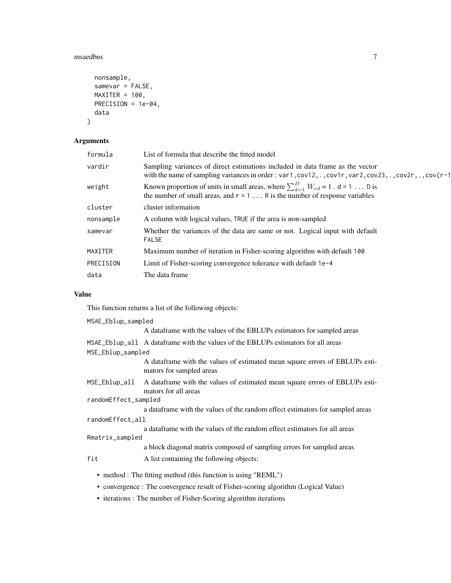#### msaedbns 7

```
nonsample,
 samevar = FALSE,
 MAXITER = 100,PRECISION = 1e-04,
 data
)
```
#### Arguments

| formula   | List of formula that describe the fitted model                                                                                                                                                             |
|-----------|------------------------------------------------------------------------------------------------------------------------------------------------------------------------------------------------------------|
| vardir    | Sampling variances of direct estimations included in data frame as the vector<br>with the name of sampling variances in order : var1, $cov12, .$ , $cov1r$ , $var2$ , $cov23, .$ , $cov2r$ , ., $cov(r-1)$ |
| weight    | Known proportion of units in small areas, where $\sum_{d=1}^{D} W_{rd} = 1$ . d = 1 D is<br>the number of small areas, and $r = 1$ R is the number of response variables                                   |
| cluster   | cluster information                                                                                                                                                                                        |
| nonsample | A column with logical values, TRUE if the area is non-sampled                                                                                                                                              |
| samevar   | Whether the variances of the data are same or not. Logical input with default<br><b>FALSE</b>                                                                                                              |
| MAXITER   | Maximum number of iteration in Fisher-scoring algorithm with default 100                                                                                                                                   |
| PRECISION | Limit of Fisher-scoring convergence tolerance with default 1e-4                                                                                                                                            |
| data      | The data frame                                                                                                                                                                                             |
|           |                                                                                                                                                                                                            |

#### Value

| MSAE_Eblup_sampled   |                                                                                                          |  |
|----------------------|----------------------------------------------------------------------------------------------------------|--|
|                      | A dataframe with the values of the EBLUPs estimators for sampled areas                                   |  |
|                      | MSAE_Eblup_all A dataframe with the values of the EBLUPs estimators for all areas                        |  |
| MSE_Eblup_sampled    |                                                                                                          |  |
|                      | A data frame with the values of estimated mean square errors of EBLUPs esti-<br>mators for sampled areas |  |
| MSE_Eblup_all        | A dataframe with the values of estimated mean square errors of EBLUPs esti-<br>mators for all areas      |  |
| randomEffect_sampled |                                                                                                          |  |
|                      | a dataframe with the values of the random effect estimators for sampled areas                            |  |
| randomEffect_all     |                                                                                                          |  |
|                      | a data frame with the values of the random effect estimators for all areas                               |  |
| Rmatrix_sampled      |                                                                                                          |  |
|                      | a block diagonal matrix composed of sampling errors for sampled areas                                    |  |
| fit                  | A list containing the following objects:                                                                 |  |
|                      | • method : The fitting method (this function is using "REML")                                            |  |
|                      |                                                                                                          |  |

- convergence : The convergence result of Fisher-scoring algorithm (Logical Value)
- iterations : The number of Fisher-Scoring algorithm iterations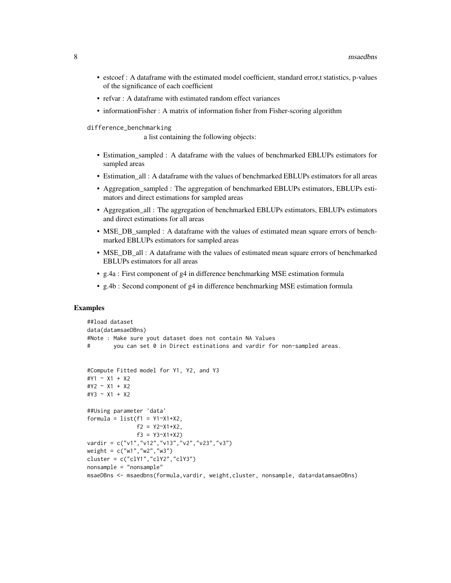- estcoef : A dataframe with the estimated model coefficient, standard error,t statistics, p-values of the significance of each coefficient
- refvar : A dataframe with estimated random effect variances
- informationFisher : A matrix of information fisher from Fisher-scoring algorithm
- difference\_benchmarking

a list containing the following objects:

- Estimation sampled : A dataframe with the values of benchmarked EBLUPs estimators for sampled areas
- Estimation all : A dataframe with the values of benchmarked EBLUPs estimators for all areas
- Aggregation\_sampled : The aggregation of benchmarked EBLUPs estimators, EBLUPs estimators and direct estimations for sampled areas
- Aggregation\_all : The aggregation of benchmarked EBLUPs estimators, EBLUPs estimators and direct estimations for all areas
- MSE\_DB\_sampled : A dataframe with the values of estimated mean square errors of benchmarked EBLUPs estimators for sampled areas
- MSE DB all : A dataframe with the values of estimated mean square errors of benchmarked EBLUPs estimators for all areas
- g.4a : First component of g4 in difference benchmarking MSE estimation formula
- g.4b : Second component of g4 in difference benchmarking MSE estimation formula

#### Examples

```
##load dataset
data(datamsaeDBns)
#Note : Make sure yout dataset does not contain NA Values
# you can set 0 in Direct estinations and vardir for non-sampled areas.
#Compute Fitted model for Y1, Y2, and Y3
#Y1 ~ X1 + X2
#Y2 ~ X1 + X2
#Y3 ~ X1 + X2
##Using parameter 'data'
formula = list(f1 = Y1 - X1 + X2,f2 = Y2^X1+X2,
              f3 = Y3~Y1+X2)vardir = c("v1","v12","v13","v2","v23","v3")
weight = c("w1","w2","w3")
cluster = c("clY1","clY2","clY3")
nonsample = "nonsample"
msaeDBns <- msaedbns(formula,vardir, weight,cluster, nonsample, data=datamsaeDBns)
```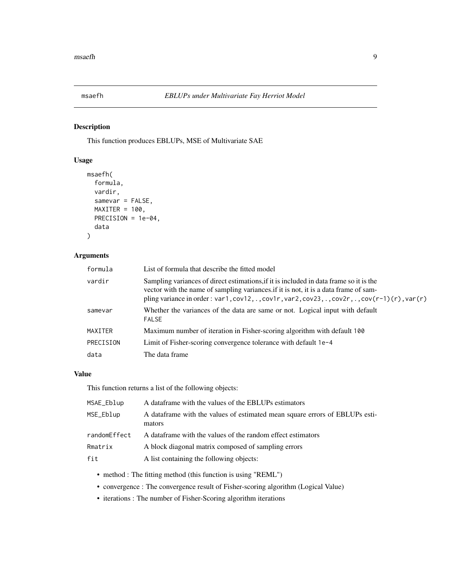<span id="page-8-0"></span>

#### Description

This function produces EBLUPs, MSE of Multivariate SAE

#### Usage

```
msaefh(
  formula,
  vardir,
  samevar = FALSE,
  MAXITER = 100,PRECISION = 1e-04,
  data
\mathcal{L}
```
#### Arguments

| formula   | List of formula that describe the fitted model                                                                                                                                                                                                                                 |
|-----------|--------------------------------------------------------------------------------------------------------------------------------------------------------------------------------------------------------------------------------------------------------------------------------|
| vardir    | Sampling variances of direct estimations, if it is included in data frame so it is the<br>vector with the name of sampling variances if it is not, it is a data frame of sam-<br>pling variance in order: var1, cov12, ., cov1r, var2, cov23, ., cov2r, ., cov(r-1)(r), var(r) |
| samevar   | Whether the variances of the data are same or not. Logical input with default<br><b>FALSE</b>                                                                                                                                                                                  |
| MAXITER   | Maximum number of iteration in Fisher-scoring algorithm with default 100                                                                                                                                                                                                       |
| PRECISION | Limit of Fisher-scoring convergence tolerance with default 1e-4                                                                                                                                                                                                                |
| data      | The data frame                                                                                                                                                                                                                                                                 |

#### Value

| MSAE_Eblup   | A data frame with the values of the EBLUPs estimators                                  |
|--------------|----------------------------------------------------------------------------------------|
| MSE_Eblup    | A data frame with the values of estimated mean square errors of EBLUPs esti-<br>mators |
| randomEffect | A dataframe with the values of the random effect estimators                            |
| Rmatrix      | A block diagonal matrix composed of sampling errors                                    |
| fit          | A list containing the following objects:                                               |

- method : The fitting method (this function is using "REML")
- convergence : The convergence result of Fisher-scoring algorithm (Logical Value)
- iterations : The number of Fisher-Scoring algorithm iterations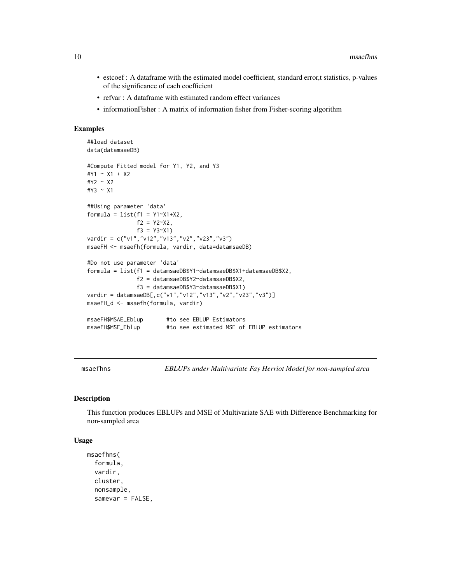- <span id="page-9-0"></span>• estcoef : A dataframe with the estimated model coefficient, standard error,t statistics, p-values of the significance of each coefficient
- refvar : A dataframe with estimated random effect variances
- informationFisher : A matrix of information fisher from Fisher-scoring algorithm

#### Examples

```
##load dataset
data(datamsaeDB)
#Compute Fitted model for Y1, Y2, and Y3
#Y1 ~ X1 + X2
#Y2 ~ X2
#Y3 ~ X1
##Using parameter 'data'
formula = list(f1 = Y1^xX1+X2,f2 = Y2^X2,
              f3 = Y3~X1)
vardir = c("v1","v12","v13","v2","v23","v3")
msaeFH <- msaefh(formula, vardir, data=datamsaeDB)
#Do not use parameter 'data'
formula = list(f1 = datamsaeDB$Y1~datamsaeDB$X1+datamsaeDB$X2,
              f2 = datamsaeDB$Y2~datamsaeDB$X2,
              f3 = datamsaeDB$Y3~datamsaeDB$X1)
vardir = datamsaeDB[,c("v1","v12","v13","v2","v23","v3")]
msaeFH_d <- msaefh(formula, vardir)
msaeFH$MSAE_Eblup #to see EBLUP Estimators
msaeFH$MSE_Eblup #to see estimated MSE of EBLUP estimators
```
msaefhns *EBLUPs under Multivariate Fay Herriot Model for non-sampled area*

#### Description

This function produces EBLUPs and MSE of Multivariate SAE with Difference Benchmarking for non-sampled area

#### Usage

```
msaefhns(
  formula,
  vardir,
  cluster,
  nonsample,
  samevar = FALSE,
```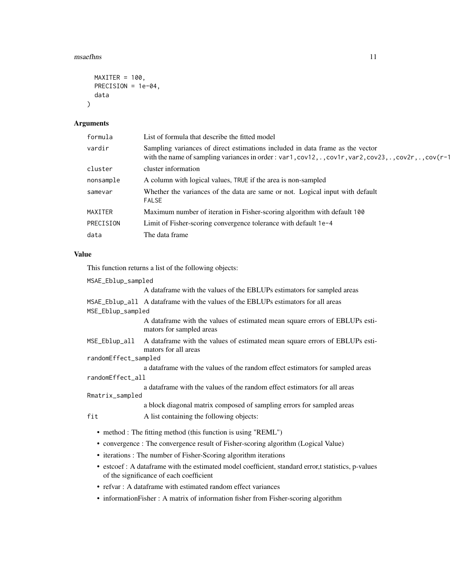#### msaefhns 11

```
MAXITER = 100,
  PRECISION = 1e-04,
  data
\mathcal{L}
```
#### Arguments

| formula   | List of formula that describe the fitted model                                                                                                                                           |
|-----------|------------------------------------------------------------------------------------------------------------------------------------------------------------------------------------------|
| vardir    | Sampling variances of direct estimations included in data frame as the vector<br>with the name of sampling variances in order : var1, cov12, ., cov1r, var2, cov23, ., cov2r, ., cov(r-1 |
| cluster   | cluster information                                                                                                                                                                      |
| nonsample | A column with logical values, TRUE if the area is non-sampled                                                                                                                            |
| samevar   | Whether the variances of the data are same or not. Logical input with default<br><b>FALSE</b>                                                                                            |
| MAXITER   | Maximum number of iteration in Fisher-scoring algorithm with default 100                                                                                                                 |
| PRECISION | Limit of Fisher-scoring convergence tolerance with default 1e-4                                                                                                                          |
| data      | The data frame                                                                                                                                                                           |
|           |                                                                                                                                                                                          |

#### Value

| MSAE_Eblup_sampled   |                                                                                                                                                |  |
|----------------------|------------------------------------------------------------------------------------------------------------------------------------------------|--|
|                      | A data frame with the values of the EBLUPs estimators for sampled areas                                                                        |  |
|                      | MSAE_Eblup_all A data frame with the values of the EBLUPs estimators for all areas                                                             |  |
| MSE_Eblup_sampled    |                                                                                                                                                |  |
|                      | A dataframe with the values of estimated mean square errors of EBLUPs esti-<br>mators for sampled areas                                        |  |
| MSE_Eblup_all        | A data frame with the values of estimated mean square errors of EBLUPs esti-<br>mators for all areas                                           |  |
| randomEffect_sampled |                                                                                                                                                |  |
|                      | a dataframe with the values of the random effect estimators for sampled areas                                                                  |  |
| randomEffect_all     |                                                                                                                                                |  |
|                      | a data frame with the values of the random effect estimators for all areas                                                                     |  |
| Rmatrix_sampled      |                                                                                                                                                |  |
|                      | a block diagonal matrix composed of sampling errors for sampled areas                                                                          |  |
| fit                  | A list containing the following objects:                                                                                                       |  |
|                      | • method : The fitting method (this function is using "REML")                                                                                  |  |
|                      | • convergence : The convergence result of Fisher-scoring algorithm (Logical Value)                                                             |  |
|                      | • iterations : The number of Fisher-Scoring algorithm iterations                                                                               |  |
|                      | • estcoef : A dataframe with the estimated model coefficient, standard error,t statistics, p-values<br>of the significance of each coefficient |  |

- refvar : A dataframe with estimated random effect variances
- informationFisher : A matrix of information fisher from Fisher-scoring algorithm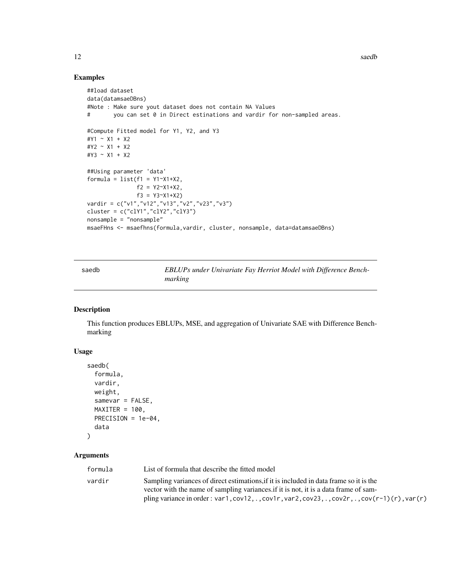12 saedb

#### Examples

```
##load dataset
data(datamsaeDBns)
#Note : Make sure yout dataset does not contain NA Values
# you can set 0 in Direct estinations and vardir for non-sampled areas.
#Compute Fitted model for Y1, Y2, and Y3
#Y1 ~ X1 + X2
#Y2 ~ X1 + X2
#Y3 ~ X1 + X2
##Using parameter 'data'
formula = list(f1 = Y1 - X1 + X2),
               f2 = Y2~X1+X2,
               f3 = Y3~X1+X2vardir = c("v1","v12","v13","v2","v23","v3")
cluster = c("clY1","clY2","clY3")
nonsample = "nonsample"
msaeFHns <- msaefhns(formula,vardir, cluster, nonsample, data=datamsaeDBns)
```
saedb *EBLUPs under Univariate Fay Herriot Model with Difference Benchmarking*

#### Description

This function produces EBLUPs, MSE, and aggregation of Univariate SAE with Difference Benchmarking

#### Usage

```
saedb(
  formula,
  vardir,
  weight,
  samevar = FALSE,
 MAXITER = 100,PRECISION = 1e-04,
  data
)
```
## Arguments

| formula | List of formula that describe the fitted model                                                                                                                                |
|---------|-------------------------------------------------------------------------------------------------------------------------------------------------------------------------------|
| vardir  | Sampling variances of direct estimations, if it is included in data frame so it is the<br>vector with the name of sampling variances if it is not, it is a data frame of sam- |
|         | pling variance in order: var1, cov12, ., cov1r, var2, cov23, ., cov2r, ., cov $(r-1)(r)$ , var $(r)$                                                                          |

<span id="page-11-0"></span>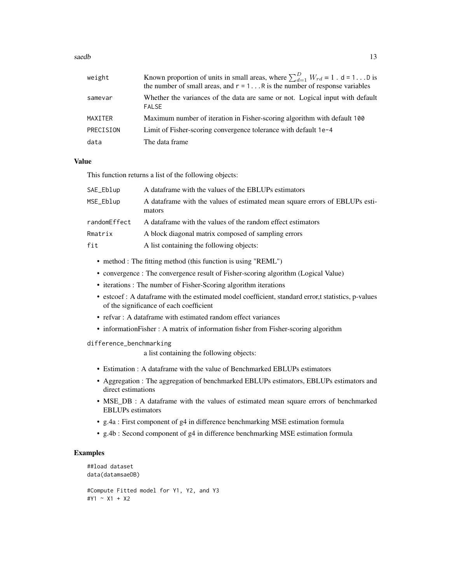#### saedb 13

| weight    | Known proportion of units in small areas, where $\sum_{d=1}^{D} W_{rd} = 1$ . d = 1 D is<br>the number of small areas, and $r = 1$ R is the number of response variables |
|-----------|--------------------------------------------------------------------------------------------------------------------------------------------------------------------------|
| samevar   | Whether the variances of the data are same or not. Logical input with default<br><b>FALSE</b>                                                                            |
| MAXITER   | Maximum number of iteration in Fisher-scoring algorithm with default 100                                                                                                 |
| PRECISION | Limit of Fisher-scoring convergence tolerance with default 1e-4                                                                                                          |
| data      | The data frame                                                                                                                                                           |

#### Value

This function returns a list of the following objects:

| SAE_Eblup    | A data frame with the values of the EBLUPs estimators                                  |
|--------------|----------------------------------------------------------------------------------------|
| MSE_Eblup    | A data frame with the values of estimated mean square errors of EBLUPs esti-<br>mators |
| randomEffect | A dataframe with the values of the random effect estimators                            |
| Rmatrix      | A block diagonal matrix composed of sampling errors                                    |
| fit          | A list containing the following objects:                                               |

- method : The fitting method (this function is using "REML")
- convergence : The convergence result of Fisher-scoring algorithm (Logical Value)
- iterations : The number of Fisher-Scoring algorithm iterations
- estcoef : A dataframe with the estimated model coefficient, standard error,t statistics, p-values of the significance of each coefficient
- refvar : A dataframe with estimated random effect variances
- informationFisher : A matrix of information fisher from Fisher-scoring algorithm

#### difference\_benchmarking

a list containing the following objects:

- Estimation : A dataframe with the value of Benchmarked EBLUPs estimators
- Aggregation : The aggregation of benchmarked EBLUPs estimators, EBLUPs estimators and direct estimations
- MSE\_DB : A dataframe with the values of estimated mean square errors of benchmarked EBLUPs estimators
- g.4a : First component of g4 in difference benchmarking MSE estimation formula
- g.4b : Second component of g4 in difference benchmarking MSE estimation formula

#### Examples

```
##load dataset
data(datamsaeDB)
#Compute Fitted model for Y1, Y2, and Y3
#Y1 ~ X1 + X2
```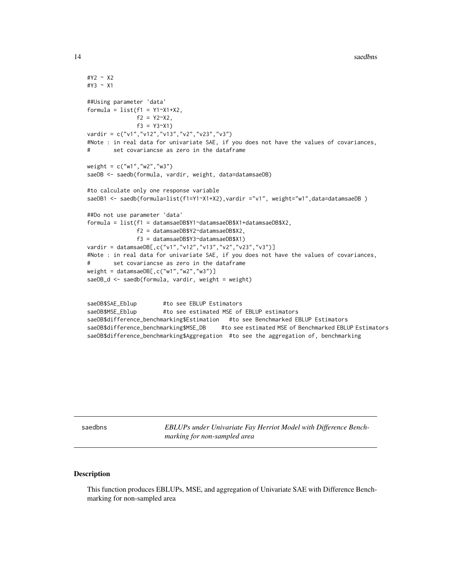14 saedbns ann an t-India ann an t-India ann an t-India ann an t-India ann an t-India ann an t-India ann an t-I

```
#Y2 ~ X2
#Y3 ~ X1
##Using parameter 'data'
formula = list(f1 = Y1 - X1 + X2),
              f2 = Y2^X2,
              f3 = Y3~X1)
vardir = c("v1","v12","v13","v2","v23","v3")
#Note : in real data for univariate SAE, if you does not have the values of covariances,
# set covariancse as zero in the dataframe
weight = c("w1","w2","w3")
saeDB <- saedb(formula, vardir, weight, data=datamsaeDB)
#to calculate only one response variable
saeDB1 <- saedb(formula=list(f1=Y1~X1+X2), vardir ="v1", weight="w1", data=datamsaeDB)
##Do not use parameter 'data'
formula = list(f1 = datamsaeDB$Y1~datamsaeDB$X1+datamsaeDB$X2,
              f2 = datamsaeDB$Y2~datamsaeDB$X2,
               f3 = datamsaeDB$Y3~datamsaeDB$X1)
vardir = datamsaeDB[,c("v1","v12","v13","v2","v23","v3")]
#Note : in real data for univariate SAE, if you does not have the values of covariances,
# set covariancse as zero in the dataframe
weight = datamsaeDB[,c("w1","w2","w3")]
saeDB_d <- saedb(formula, vardir, weight = weight)
saeDB$SAE_Eblup #to see EBLUP Estimators
saeDB$MSE_Eblup #to see estimated MSE of EBLUP estimators
saeDB$difference_benchmarking$Estimation #to see Benchmarked EBLUP Estimators
saeDB$difference_benchmarking$MSE_DB #to see estimated MSE of Benchmarked EBLUP Estimators
```
saeDB\$difference\_benchmarking\$Aggregation #to see the aggregation of, benchmarking

saedbns *EBLUPs under Univariate Fay Herriot Model with Difference Benchmarking for non-sampled area*

#### Description

This function produces EBLUPs, MSE, and aggregation of Univariate SAE with Difference Benchmarking for non-sampled area

<span id="page-13-0"></span>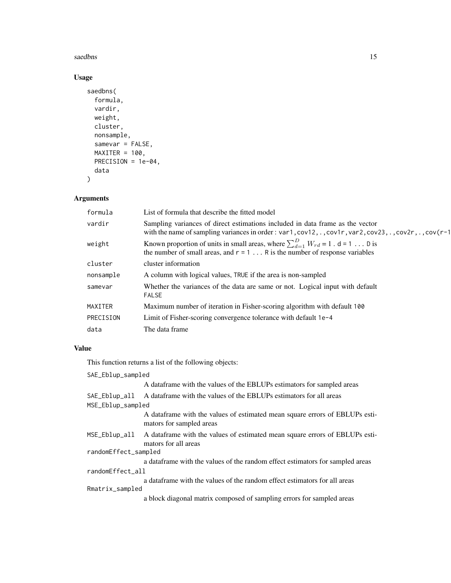#### saedbns 15

#### Usage

```
saedbns(
 formula,
 vardir,
 weight,
 cluster,
 nonsample,
  samevar = FALSE,
 MAXITER = 100,PRECISION = 1e-04,
  data
)
```
#### Arguments

| formula   | List of formula that describe the fitted model                                                                                                                                           |
|-----------|------------------------------------------------------------------------------------------------------------------------------------------------------------------------------------------|
| vardir    | Sampling variances of direct estimations included in data frame as the vector<br>with the name of sampling variances in order : var1, cov12, ., cov1r, var2, cov23, ., cov2r, ., cov(r-1 |
| weight    | Known proportion of units in small areas, where $\sum_{d=1}^{D} W_{rd} = 1$ . d = 1 D is<br>the number of small areas, and $r = 1$ R is the number of response variables                 |
| cluster   | cluster information                                                                                                                                                                      |
| nonsample | A column with logical values, TRUE if the area is non-sampled                                                                                                                            |
| samevar   | Whether the variances of the data are same or not. Logical input with default<br><b>FALSE</b>                                                                                            |
| MAXITER   | Maximum number of iteration in Fisher-scoring algorithm with default 100                                                                                                                 |
| PRECISION | Limit of Fisher-scoring convergence tolerance with default 1e-4                                                                                                                          |
| data      | The data frame                                                                                                                                                                           |
|           |                                                                                                                                                                                          |

#### Value

| SAE_Eblup_sampled    |                                                                                                         |
|----------------------|---------------------------------------------------------------------------------------------------------|
|                      | A data frame with the values of the EBLUPs estimators for sampled areas                                 |
|                      | SAE_Eblup_all A dataframe with the values of the EBLUPs estimators for all areas                        |
| MSE_Eblup_sampled    |                                                                                                         |
|                      | A dataframe with the values of estimated mean square errors of EBLUPs esti-<br>mators for sampled areas |
| MSE_Eblup_all        | A data frame with the values of estimated mean square errors of EBLUPs esti-<br>mators for all areas    |
| randomEffect_sampled |                                                                                                         |
|                      | a data frame with the values of the random effect estimators for sampled areas                          |
| randomEffect_all     |                                                                                                         |
|                      | a data frame with the values of the random effect estimators for all areas                              |
| Rmatrix_sampled      |                                                                                                         |
|                      | a block diagonal matrix composed of sampling errors for sampled areas                                   |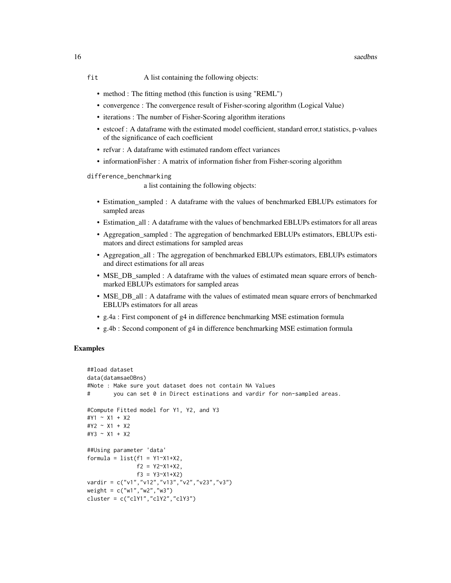#### 16 saedbns saedbns saedbns saedbns saedbns saedbns saedbns saedbns saedbns saedbns saedbns saedbns saedbns saedbns saedbns saedbns saedbns saedbns saedbns saedbns saedbns saedbns saedbns saedbns saedbns saedbns saedbns sae

- fit A list containing the following objects:
	- method : The fitting method (this function is using "REML")
	- convergence : The convergence result of Fisher-scoring algorithm (Logical Value)
	- iterations : The number of Fisher-Scoring algorithm iterations
	- estcoef : A dataframe with the estimated model coefficient, standard error,t statistics, p-values of the significance of each coefficient
	- refvar : A dataframe with estimated random effect variances
	- informationFisher : A matrix of information fisher from Fisher-scoring algorithm

difference\_benchmarking

a list containing the following objects:

- Estimation\_sampled : A dataframe with the values of benchmarked EBLUPs estimators for sampled areas
- Estimation\_all : A dataframe with the values of benchmarked EBLUPs estimators for all areas
- Aggregation\_sampled : The aggregation of benchmarked EBLUPs estimators, EBLUPs estimators and direct estimations for sampled areas
- Aggregation\_all : The aggregation of benchmarked EBLUPs estimators, EBLUPs estimators and direct estimations for all areas
- MSE\_DB\_sampled : A dataframe with the values of estimated mean square errors of benchmarked EBLUPs estimators for sampled areas
- MSE\_DB\_all : A dataframe with the values of estimated mean square errors of benchmarked EBLUPs estimators for all areas
- g.4a : First component of g4 in difference benchmarking MSE estimation formula
- g.4b : Second component of g4 in difference benchmarking MSE estimation formula

#### **Examples**

```
##load dataset
data(datamsaeDBns)
#Note : Make sure yout dataset does not contain NA Values
# you can set 0 in Direct estinations and vardir for non-sampled areas.
#Compute Fitted model for Y1, Y2, and Y3
#Y1 ~ X1 + X2
#Y2 ~ X1 + X2
#Y3 ~ X1 + X2
##Using parameter 'data'
formula = list(f1 = Y1 - X1 + X2),
               f2 = Y2~X1+X2,
               f3 = Y3 - X1 + X2vardir = c("v1","v12","v13","v2","v23","v3")
weight = c("w1","w2","w3")
cluster = c("clY1","clY2","clY3")
```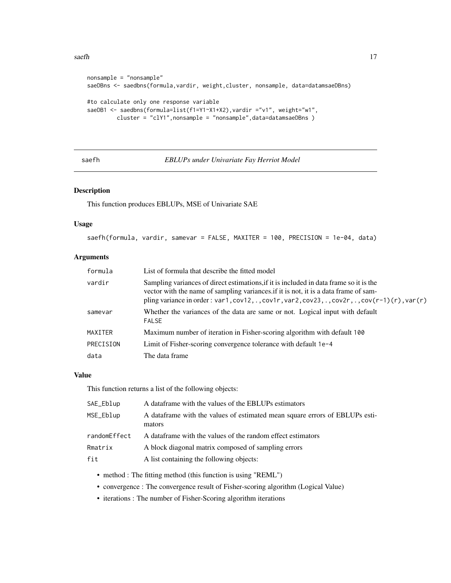#### <span id="page-16-0"></span> $s$ aefh  $17$

```
nonsample = "nonsample"
saeDBns <- saedbns(formula,vardir, weight,cluster, nonsample, data=datamsaeDBns)
#to calculate only one response variable
saeDB1 <- saedbns(formula=list(f1=Y1~X1+X2), vardir ="v1", weight="w1",
        cluster = "clY1",nonsample = "nonsample",data=datamsaeDBns )
```
saefh *EBLUPs under Univariate Fay Herriot Model*

#### Description

This function produces EBLUPs, MSE of Univariate SAE

#### Usage

saefh(formula, vardir, samevar = FALSE, MAXITER = 100, PRECISION = 1e-04, data)

#### Arguments

| formula   | List of formula that describe the fitted model                                                                                                                                                                                                                                  |
|-----------|---------------------------------------------------------------------------------------------------------------------------------------------------------------------------------------------------------------------------------------------------------------------------------|
| vardir    | Sampling variances of direct estimations, if it is included in data frame so it is the<br>vector with the name of sampling variances if it is not, it is a data frame of sam-<br>pling variance in order : var1, cov12, ., cov1r, var2, cov23, ., cov2r, ., cov(r-1)(r), var(r) |
| samevar   | Whether the variances of the data are same or not. Logical input with default<br><b>FALSE</b>                                                                                                                                                                                   |
| MAXITER   | Maximum number of iteration in Fisher-scoring algorithm with default 100                                                                                                                                                                                                        |
| PRECISION | Limit of Fisher-scoring convergence tolerance with default 1e-4                                                                                                                                                                                                                 |
| data      | The data frame                                                                                                                                                                                                                                                                  |

#### Value

| SAE_Eblup    | A data frame with the values of the EBLUPs estimators                                  |
|--------------|----------------------------------------------------------------------------------------|
| MSE_Eblup    | A data frame with the values of estimated mean square errors of EBLUPs esti-<br>mators |
| randomEffect | A dataframe with the values of the random effect estimators                            |
| Rmatrix      | A block diagonal matrix composed of sampling errors                                    |
| fit          | A list containing the following objects:                                               |

- method : The fitting method (this function is using "REML")
- convergence : The convergence result of Fisher-scoring algorithm (Logical Value)
- iterations : The number of Fisher-Scoring algorithm iterations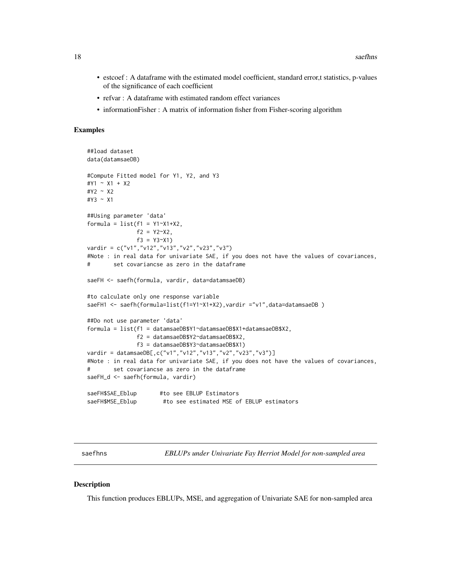- <span id="page-17-0"></span>• estcoef : A dataframe with the estimated model coefficient, standard error,t statistics, p-values of the significance of each coefficient
- refvar : A dataframe with estimated random effect variances
- informationFisher : A matrix of information fisher from Fisher-scoring algorithm

#### Examples

```
##load dataset
data(datamsaeDB)
#Compute Fitted model for Y1, Y2, and Y3
#Y1 ~ X1 + X2
#Y2 ~ X2
#Y3 ~ X1
##Using parameter 'data'
formula = list(f1 = Y1 - X1 + X2,f2 = Y2^X2,
              f3 = Y3~X1)
vardir = c("v1","v12","v13","v2","v23","v3")
#Note : in real data for univariate SAE, if you does not have the values of covariances,
# set covariancse as zero in the dataframe
saeFH <- saefh(formula, vardir, data=datamsaeDB)
#to calculate only one response variable
saeFH1 <- saefh(formula=list(f1=Y1~X1+X2), vardir ="v1", data=datamsaeDB)
##Do not use parameter 'data'
formula = list(f1 = datamsaeDB$Y1~datamsaeDB$X1+datamsaeDB$X2,
              f2 = datamsaeDB$Y2~datamsaeDB$X2,
               f3 = datamsaeDB$Y3~datamsaeDB$X1)
vardir = datamsaeDB[,c("v1","v12","v13","v2","v23","v3")]
#Note : in real data for univariate SAE, if you does not have the values of covariances,
# set covariancse as zero in the dataframe
saeFH_d <- saefh(formula, vardir)
saeFH$SAE_Eblup #to see EBLUP Estimators
saeFH$MSE_Eblup #to see estimated MSE of EBLUP estimators
```
saefhns *EBLUPs under Univariate Fay Herriot Model for non-sampled area*

#### **Description**

This function produces EBLUPs, MSE, and aggregation of Univariate SAE for non-sampled area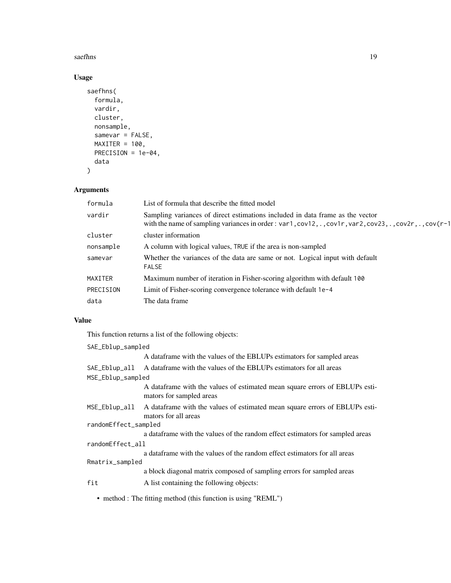#### saefhns 19

#### Usage

```
saefhns(
 formula,
 vardir,
 cluster,
 nonsample,
  samevar = FALSE,
 MAXITER = 100,PRECISION = 1e-04,
 data
)
```
#### Arguments

| formula   | List of formula that describe the fitted model                                                                                                                                           |
|-----------|------------------------------------------------------------------------------------------------------------------------------------------------------------------------------------------|
| vardir    | Sampling variances of direct estimations included in data frame as the vector<br>with the name of sampling variances in order : var1, cov12, ., cov1r, var2, cov23, ., cov2r, ., cov(r-1 |
| cluster   | cluster information                                                                                                                                                                      |
| nonsample | A column with logical values, TRUE if the area is non-sampled                                                                                                                            |
| samevar   | Whether the variances of the data are same or not. Logical input with default<br><b>FALSE</b>                                                                                            |
| MAXITER   | Maximum number of iteration in Fisher-scoring algorithm with default 100                                                                                                                 |
| PRECISION | Limit of Fisher-scoring convergence tolerance with default 1e-4                                                                                                                          |
| data      | The data frame                                                                                                                                                                           |
|           |                                                                                                                                                                                          |

#### Value

This function returns a list of the following objects:

| SAE_Eblup_sampled    |                                                                                                         |
|----------------------|---------------------------------------------------------------------------------------------------------|
|                      | A data frame with the values of the EBLUPs estimators for sampled areas                                 |
| SAE_Eblup_all        | A data frame with the values of the EBLUPs estimators for all areas                                     |
| MSE_Eblup_sampled    |                                                                                                         |
|                      | A dataframe with the values of estimated mean square errors of EBLUPs esti-<br>mators for sampled areas |
| MSE_Eblup_all        | A data frame with the values of estimated mean square errors of EBLUPs esti-<br>mators for all areas    |
| randomEffect_sampled |                                                                                                         |
|                      | a data frame with the values of the random effect estimators for sampled areas                          |
| randomEffect_all     |                                                                                                         |
|                      | a data frame with the values of the random effect estimators for all areas                              |
| Rmatrix_sampled      |                                                                                                         |
|                      | a block diagonal matrix composed of sampling errors for sampled areas                                   |
| fit                  | A list containing the following objects:                                                                |

• method : The fitting method (this function is using "REML")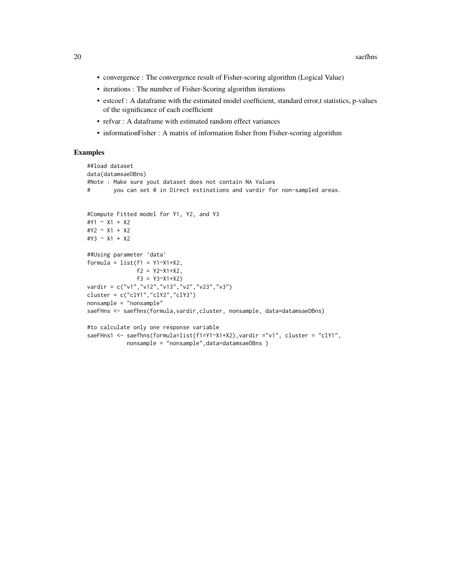- convergence : The convergence result of Fisher-scoring algorithm (Logical Value)
- iterations : The number of Fisher-Scoring algorithm iterations
- estcoef : A dataframe with the estimated model coefficient, standard error,t statistics, p-values of the significance of each coefficient
- refvar : A dataframe with estimated random effect variances
- informationFisher : A matrix of information fisher from Fisher-scoring algorithm

#### Examples

```
##load dataset
data(datamsaeDBns)
#Note : Make sure yout dataset does not contain NA Values
# you can set 0 in Direct estinations and vardir for non-sampled areas.
#Compute Fitted model for Y1, Y2, and Y3
#Y1 ~ X1 + X2
#Y2 ~ X1 + X2
#Y3 ~ X1 + X2
##Using parameter 'data'
formula = list(f1 = Y1^xX1+X2,f2 = Y2~X1+X2,
              f3 = Y3~X1+X2vardir = c("v1","v12","v13","v2","v23","v3")
cluster = c("clY1","clY2","clY3")
nonsample = "nonsample"
saeFHns <- saefhns(formula,vardir,cluster, nonsample, data=datamsaeDBns)
#to calculate only one response variable
saeFHns1 <- saefhns(formula=list(f1=Y1~X1+X2), vardir ="v1", cluster = "clY1",
```
nonsample = "nonsample",data=datamsaeDBns )